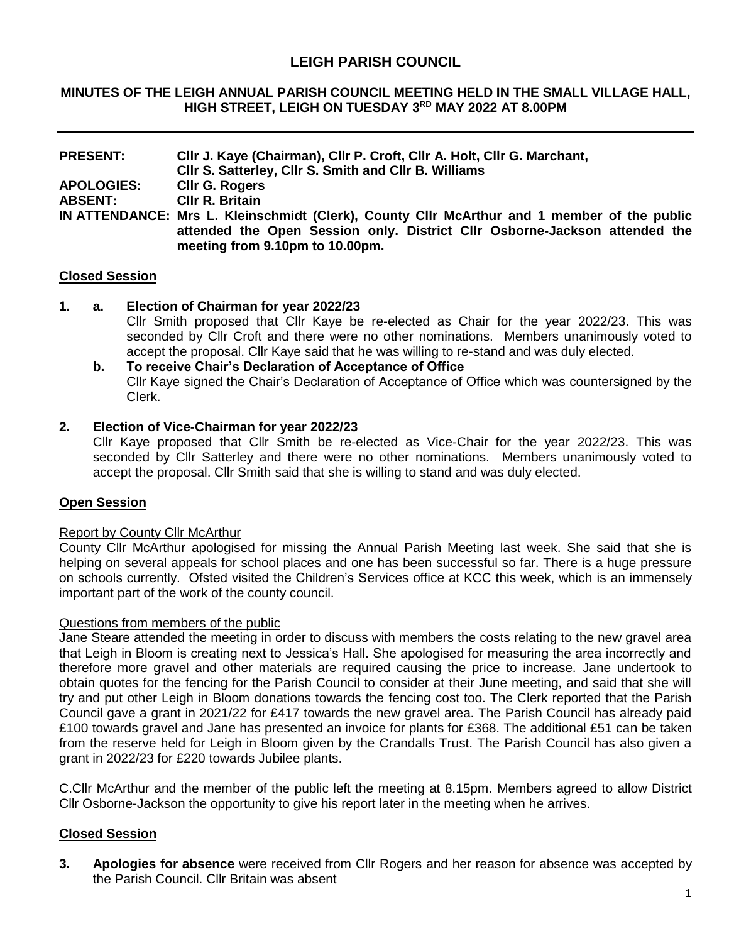## **LEIGH PARISH COUNCIL**

#### **MINUTES OF THE LEIGH ANNUAL PARISH COUNCIL MEETING HELD IN THE SMALL VILLAGE HALL, HIGH STREET, LEIGH ON TUESDAY 3 RD MAY 2022 AT 8.00PM**

| <b>PRESENT:</b>   | CIIr J. Kaye (Chairman), CIIr P. Croft, CIIr A. Holt, CIIr G. Marchant,<br>CIIr S. Satterley, CIIr S. Smith and CIIr B. Williams                                                                             |  |  |  |
|-------------------|--------------------------------------------------------------------------------------------------------------------------------------------------------------------------------------------------------------|--|--|--|
|                   |                                                                                                                                                                                                              |  |  |  |
| <b>APOLOGIES:</b> | <b>CIIr G. Rogers</b>                                                                                                                                                                                        |  |  |  |
| <b>ABSENT:</b>    | <b>CIIr R. Britain</b>                                                                                                                                                                                       |  |  |  |
|                   | IN ATTENDANCE: Mrs L. Kleinschmidt (Clerk), County Cllr McArthur and 1 member of the public<br>attended the Open Session only. District Cllr Osborne-Jackson attended the<br>meeting from 9.10pm to 10.00pm. |  |  |  |

#### **Closed Session**

#### **1. a. Election of Chairman for year 2022/23**

Cllr Smith proposed that Cllr Kaye be re-elected as Chair for the year 2022/23. This was seconded by Cllr Croft and there were no other nominations. Members unanimously voted to accept the proposal. Cllr Kaye said that he was willing to re-stand and was duly elected.

#### **b. To receive Chair's Declaration of Acceptance of Office** Cllr Kaye signed the Chair's Declaration of Acceptance of Office which was countersigned by the Clerk.

#### **2. Election of Vice-Chairman for year 2022/23**

Cllr Kaye proposed that Cllr Smith be re-elected as Vice-Chair for the year 2022/23. This was seconded by Cllr Satterley and there were no other nominations. Members unanimously voted to accept the proposal. Cllr Smith said that she is willing to stand and was duly elected.

### **Open Session**

#### Report by County Cllr McArthur

County Cllr McArthur apologised for missing the Annual Parish Meeting last week. She said that she is helping on several appeals for school places and one has been successful so far. There is a huge pressure on schools currently. Ofsted visited the Children's Services office at KCC this week, which is an immensely important part of the work of the county council.

#### Questions from members of the public

Jane Steare attended the meeting in order to discuss with members the costs relating to the new gravel area that Leigh in Bloom is creating next to Jessica's Hall. She apologised for measuring the area incorrectly and therefore more gravel and other materials are required causing the price to increase. Jane undertook to obtain quotes for the fencing for the Parish Council to consider at their June meeting, and said that she will try and put other Leigh in Bloom donations towards the fencing cost too. The Clerk reported that the Parish Council gave a grant in 2021/22 for £417 towards the new gravel area. The Parish Council has already paid £100 towards gravel and Jane has presented an invoice for plants for £368. The additional £51 can be taken from the reserve held for Leigh in Bloom given by the Crandalls Trust. The Parish Council has also given a grant in 2022/23 for £220 towards Jubilee plants.

C.Cllr McArthur and the member of the public left the meeting at 8.15pm. Members agreed to allow District Cllr Osborne-Jackson the opportunity to give his report later in the meeting when he arrives.

### **Closed Session**

**3. Apologies for absence** were received from Cllr Rogers and her reason for absence was accepted by the Parish Council. Cllr Britain was absent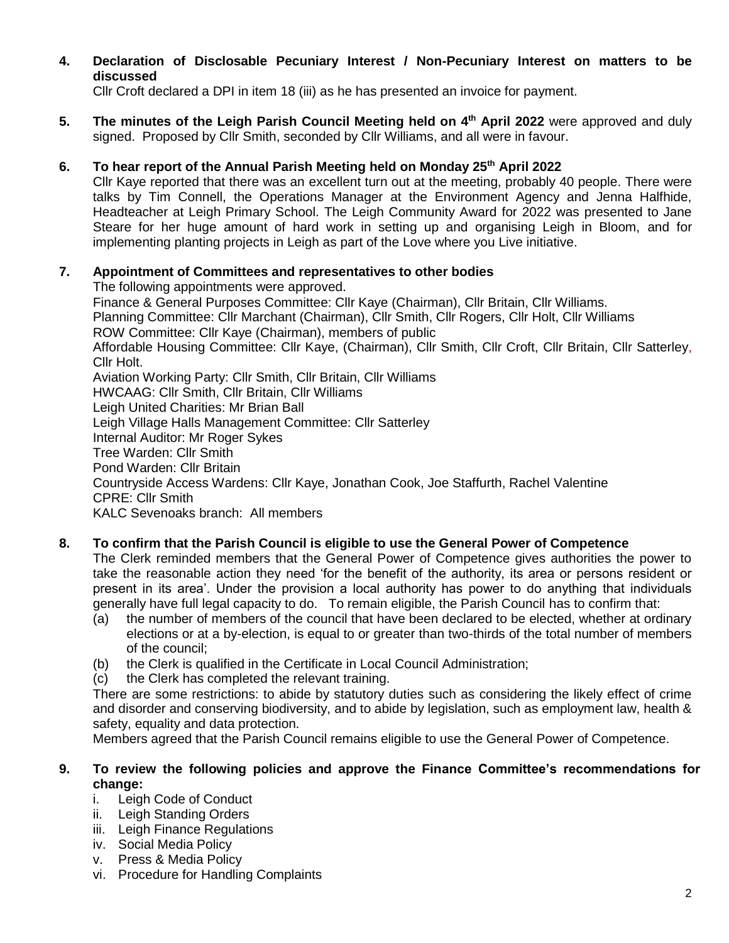**4. Declaration of Disclosable Pecuniary Interest / Non-Pecuniary Interest on matters to be discussed**

Cllr Croft declared a DPI in item 18 (iii) as he has presented an invoice for payment.

**5.** The minutes of the Leigh Parish Council Meeting held on 4<sup>th</sup> April 2022 were approved and duly signed. Proposed by Cllr Smith, seconded by Cllr Williams, and all were in favour.

## **6. To hear report of the Annual Parish Meeting held on Monday 25th April 2022**

Cllr Kaye reported that there was an excellent turn out at the meeting, probably 40 people. There were talks by Tim Connell, the Operations Manager at the Environment Agency and Jenna Halfhide, Headteacher at Leigh Primary School. The Leigh Community Award for 2022 was presented to Jane Steare for her huge amount of hard work in setting up and organising Leigh in Bloom, and for implementing planting projects in Leigh as part of the Love where you Live initiative.

## **7. Appointment of Committees and representatives to other bodies**

The following appointments were approved.

Finance & General Purposes Committee: Cllr Kaye (Chairman), Cllr Britain, Cllr Williams. Planning Committee: Cllr Marchant (Chairman), Cllr Smith, Cllr Rogers, Cllr Holt, Cllr Williams ROW Committee: Cllr Kaye (Chairman), members of public Affordable Housing Committee: Cllr Kaye, (Chairman), Cllr Smith, Cllr Croft, Cllr Britain, Cllr Satterley, Cllr Holt. Aviation Working Party: Cllr Smith, Cllr Britain, Cllr Williams HWCAAG: Cllr Smith, Cllr Britain, Cllr Williams Leigh United Charities: Mr Brian Ball Leigh Village Halls Management Committee: Cllr Satterley Internal Auditor: Mr Roger Sykes Tree Warden: Cllr Smith Pond Warden: Cllr Britain Countryside Access Wardens: Cllr Kaye, Jonathan Cook, Joe Staffurth, Rachel Valentine CPRE: Cllr Smith KALC Sevenoaks branch: All members

## **8. To confirm that the Parish Council is eligible to use the General Power of Competence**

The Clerk reminded members that the General Power of Competence gives authorities the power to take the reasonable action they need 'for the benefit of the authority, its area or persons resident or present in its area'. Under the provision a local authority has power to do anything that individuals generally have full legal capacity to do. To remain eligible, the Parish Council has to confirm that:

- (a) the number of members of the council that have been declared to be elected, whether at ordinary elections or at a by-election, is equal to or greater than two-thirds of the total number of members of the council;
- (b) the Clerk is qualified in the Certificate in Local Council Administration;
- (c) the Clerk has completed the relevant training.

There are some restrictions: to abide by statutory duties such as considering the likely effect of crime and disorder and conserving biodiversity, and to abide by legislation, such as employment law, health & safety, equality and data protection.

Members agreed that the Parish Council remains eligible to use the General Power of Competence.

### **9. To review the following policies and approve the Finance Committee's recommendations for change:**

- i. Leigh Code of Conduct
- ii. Leigh Standing Orders
- iii. Leigh Finance Regulations
- iv. Social Media Policy
- v. Press & Media Policy
- vi. Procedure for Handling Complaints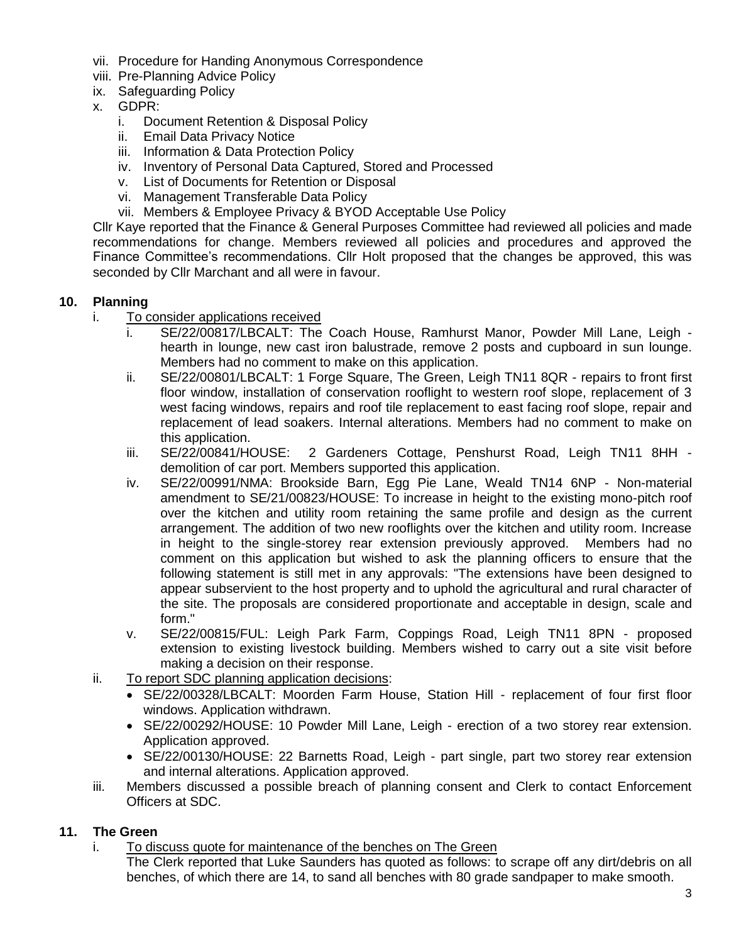- vii. Procedure for Handing Anonymous Correspondence
- viii. Pre-Planning Advice Policy
- ix. Safeguarding Policy
- x. GDPR:
	- i. Document Retention & Disposal Policy
	- ii. Email Data Privacy Notice
	- iii. Information & Data Protection Policy
	- iv. Inventory of Personal Data Captured, Stored and Processed
	- v. List of Documents for Retention or Disposal
	- vi. Management Transferable Data Policy
	- vii. Members & Employee Privacy & BYOD Acceptable Use Policy

Cllr Kaye reported that the Finance & General Purposes Committee had reviewed all policies and made recommendations for change. Members reviewed all policies and procedures and approved the Finance Committee's recommendations. Cllr Holt proposed that the changes be approved, this was seconded by Cllr Marchant and all were in favour.

## **10. Planning**

- i. To consider applications received
	- i. SE/22/00817/LBCALT: The Coach House, Ramhurst Manor, Powder Mill Lane, Leigh hearth in lounge, new cast iron balustrade, remove 2 posts and cupboard in sun lounge. Members had no comment to make on this application.
	- ii. SE/22/00801/LBCALT: 1 Forge Square, The Green, Leigh TN11 8QR repairs to front first floor window, installation of conservation rooflight to western roof slope, replacement of 3 west facing windows, repairs and roof tile replacement to east facing roof slope, repair and replacement of lead soakers. Internal alterations. Members had no comment to make on this application.
	- iii. SE/22/00841/HOUSE: 2 Gardeners Cottage, Penshurst Road, Leigh TN11 8HH demolition of car port. Members supported this application.
	- iv. SE/22/00991/NMA: Brookside Barn, Egg Pie Lane, Weald TN14 6NP Non-material amendment to SE/21/00823/HOUSE: To increase in height to the existing mono-pitch roof over the kitchen and utility room retaining the same profile and design as the current arrangement. The addition of two new rooflights over the kitchen and utility room. Increase in height to the single-storey rear extension previously approved. Members had no comment on this application but wished to ask the planning officers to ensure that the following statement is still met in any approvals: "The extensions have been designed to appear subservient to the host property and to uphold the agricultural and rural character of the site. The proposals are considered proportionate and acceptable in design, scale and form."
	- v. SE/22/00815/FUL: Leigh Park Farm, Coppings Road, Leigh TN11 8PN proposed extension to existing livestock building. Members wished to carry out a site visit before making a decision on their response.
- ii. To report SDC planning application decisions:
	- SE/22/00328/LBCALT: Moorden Farm House, Station Hill replacement of four first floor windows. Application withdrawn.
	- SE/22/00292/HOUSE: 10 Powder Mill Lane, Leigh erection of a two storey rear extension. Application approved.
	- SE/22/00130/HOUSE: 22 Barnetts Road, Leigh part single, part two storey rear extension and internal alterations. Application approved.
- iii. Members discussed a possible breach of planning consent and Clerk to contact Enforcement Officers at SDC.

## **11. The Green**

i. To discuss quote for maintenance of the benches on The Green

The Clerk reported that Luke Saunders has quoted as follows: to scrape off any dirt/debris on all benches, of which there are 14, to sand all benches with 80 grade sandpaper to make smooth.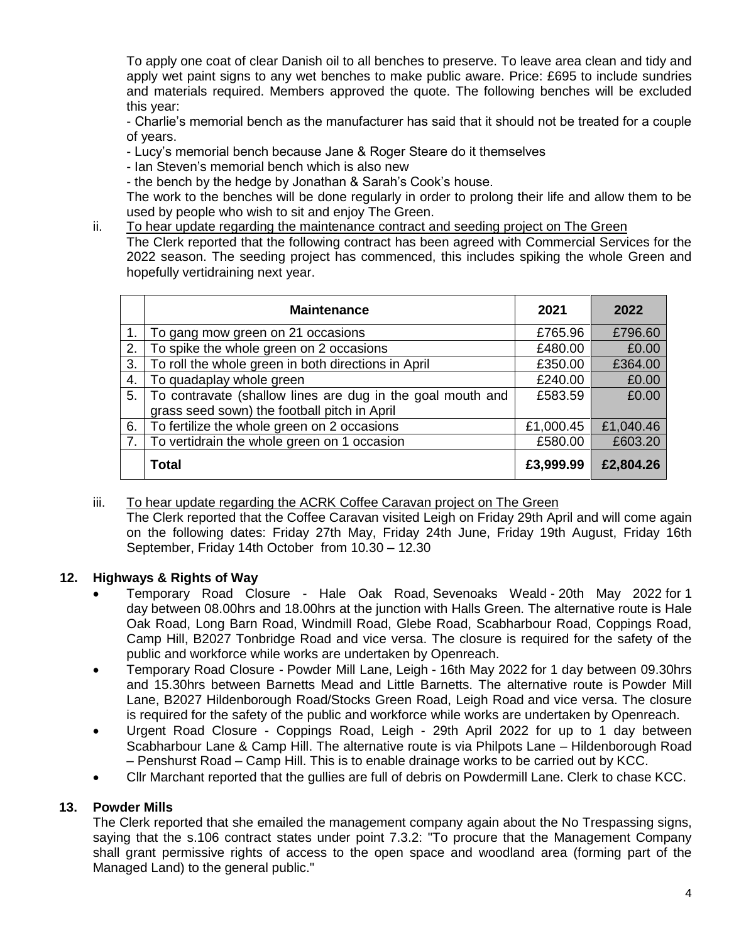To apply one coat of clear Danish oil to all benches to preserve. To leave area clean and tidy and apply wet paint signs to any wet benches to make public aware. Price: £695 to include sundries and materials required. Members approved the quote. The following benches will be excluded this year:

- Charlie's memorial bench as the manufacturer has said that it should not be treated for a couple of years.

- Lucy's memorial bench because Jane & Roger Steare do it themselves

- Ian Steven's memorial bench which is also new

- the bench by the hedge by Jonathan & Sarah's Cook's house.

The work to the benches will be done regularly in order to prolong their life and allow them to be used by people who wish to sit and enjoy The Green.

ii. To hear update regarding the maintenance contract and seeding project on The Green The Clerk reported that the following contract has been agreed with Commercial Services for the 2022 season. The seeding project has commenced, this includes spiking the whole Green and hopefully vertidraining next year.

|    | <b>Maintenance</b>                                                                                         | 2021      | 2022      |
|----|------------------------------------------------------------------------------------------------------------|-----------|-----------|
|    | To gang mow green on 21 occasions                                                                          | £765.96   | £796.60   |
| 2. | To spike the whole green on 2 occasions                                                                    | £480.00   | £0.00     |
| 3. | To roll the whole green in both directions in April                                                        | £350.00   | £364.00   |
| 4. | To quadaplay whole green                                                                                   | £240.00   | £0.00     |
| 5. | To contravate (shallow lines are dug in the goal mouth and<br>grass seed sown) the football pitch in April | £583.59   | £0.00     |
| 6. | To fertilize the whole green on 2 occasions                                                                | £1,000.45 | £1,040.46 |
| 7. | To vertidrain the whole green on 1 occasion                                                                | £580.00   | £603.20   |
|    | <b>Total</b>                                                                                               | £3,999.99 | £2,804.26 |

# iii. To hear update regarding the ACRK Coffee Caravan project on The Green

The Clerk reported that the Coffee Caravan visited Leigh on Friday 29th April and will come again on the following dates: Friday 27th May, Friday 24th June, Friday 19th August, Friday 16th September, Friday 14th October from 10.30 – 12.30

# **12. Highways & Rights of Way**

- Temporary Road Closure Hale Oak Road, Sevenoaks Weald 20th May 2022 for 1 day between 08.00hrs and 18.00hrs at the junction with Halls Green. The alternative route is Hale Oak Road, Long Barn Road, Windmill Road, Glebe Road, Scabharbour Road, Coppings Road, Camp Hill, B2027 Tonbridge Road and vice versa. The closure is required for the safety of the public and workforce while works are undertaken by Openreach.
- Temporary Road Closure Powder Mill Lane, Leigh 16th May 2022 for 1 day between 09.30hrs and 15.30hrs between Barnetts Mead and Little Barnetts. The alternative route is Powder Mill Lane, B2027 Hildenborough Road/Stocks Green Road, Leigh Road and vice versa. The closure is required for the safety of the public and workforce while works are undertaken by Openreach.
- Urgent Road Closure Coppings Road, Leigh 29th April 2022 for up to 1 day between Scabharbour Lane & Camp Hill. The alternative route is via Philpots Lane – Hildenborough Road – Penshurst Road – Camp Hill. This is to enable drainage works to be carried out by KCC.
- Cllr Marchant reported that the gullies are full of debris on Powdermill Lane. Clerk to chase KCC.

## **13. Powder Mills**

The Clerk reported that she emailed the management company again about the No Trespassing signs, saying that the s.106 contract states under point 7.3.2: "To procure that the Management Company shall grant permissive rights of access to the open space and woodland area (forming part of the Managed Land) to the general public."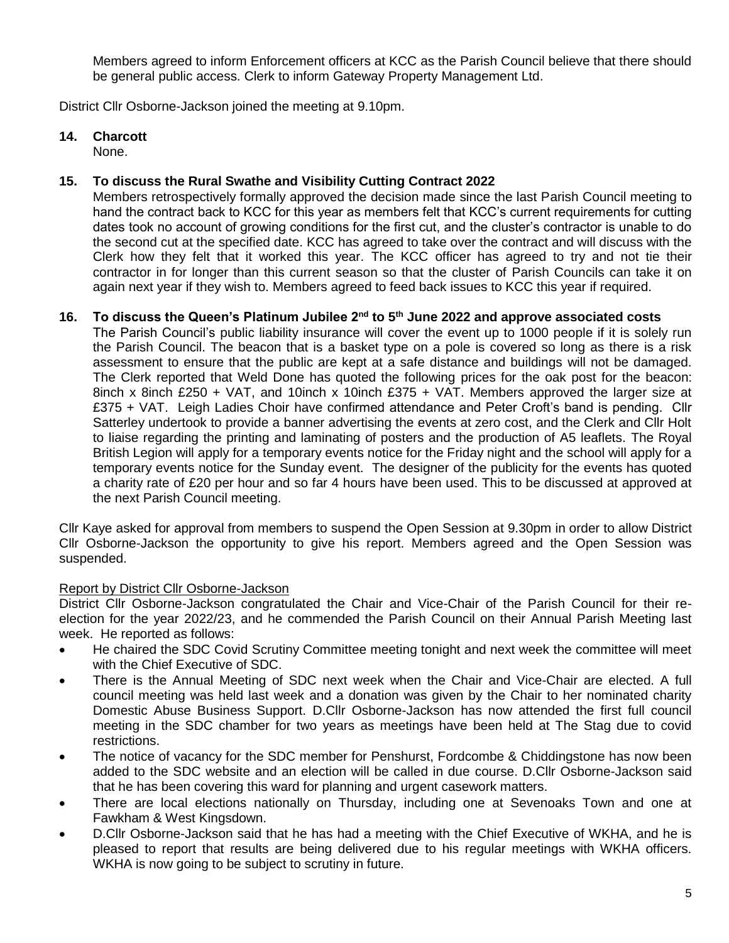Members agreed to inform Enforcement officers at KCC as the Parish Council believe that there should be general public access. Clerk to inform Gateway Property Management Ltd.

District Cllr Osborne-Jackson joined the meeting at 9.10pm.

### **14. Charcott**

None.

### **15. To discuss the Rural Swathe and Visibility Cutting Contract 2022**

Members retrospectively formally approved the decision made since the last Parish Council meeting to hand the contract back to KCC for this year as members felt that KCC's current requirements for cutting dates took no account of growing conditions for the first cut, and the cluster's contractor is unable to do the second cut at the specified date. KCC has agreed to take over the contract and will discuss with the Clerk how they felt that it worked this year. The KCC officer has agreed to try and not tie their contractor in for longer than this current season so that the cluster of Parish Councils can take it on again next year if they wish to. Members agreed to feed back issues to KCC this year if required.

## **16. To discuss the Queen's Platinum Jubilee 2nd to 5th June 2022 and approve associated costs**

The Parish Council's public liability insurance will cover the event up to 1000 people if it is solely run the Parish Council. The beacon that is a basket type on a pole is covered so long as there is a risk assessment to ensure that the public are kept at a safe distance and buildings will not be damaged. The Clerk reported that Weld Done has quoted the following prices for the oak post for the beacon: 8inch x 8inch £250 + VAT, and 10inch x 10inch £375 + VAT. Members approved the larger size at £375 + VAT. Leigh Ladies Choir have confirmed attendance and Peter Croft's band is pending. Cllr Satterley undertook to provide a banner advertising the events at zero cost, and the Clerk and Cllr Holt to liaise regarding the printing and laminating of posters and the production of A5 leaflets. The Royal British Legion will apply for a temporary events notice for the Friday night and the school will apply for a temporary events notice for the Sunday event. The designer of the publicity for the events has quoted a charity rate of £20 per hour and so far 4 hours have been used. This to be discussed at approved at the next Parish Council meeting.

Cllr Kaye asked for approval from members to suspend the Open Session at 9.30pm in order to allow District Cllr Osborne-Jackson the opportunity to give his report. Members agreed and the Open Session was suspended.

### Report by District Cllr Osborne-Jackson

District Cllr Osborne-Jackson congratulated the Chair and Vice-Chair of the Parish Council for their reelection for the year 2022/23, and he commended the Parish Council on their Annual Parish Meeting last week. He reported as follows:

- He chaired the SDC Covid Scrutiny Committee meeting tonight and next week the committee will meet with the Chief Executive of SDC.
- There is the Annual Meeting of SDC next week when the Chair and Vice-Chair are elected. A full council meeting was held last week and a donation was given by the Chair to her nominated charity Domestic Abuse Business Support. D.Cllr Osborne-Jackson has now attended the first full council meeting in the SDC chamber for two years as meetings have been held at The Stag due to covid restrictions.
- The notice of vacancy for the SDC member for Penshurst, Fordcombe & Chiddingstone has now been added to the SDC website and an election will be called in due course. D.Cllr Osborne-Jackson said that he has been covering this ward for planning and urgent casework matters.
- There are local elections nationally on Thursday, including one at Sevenoaks Town and one at Fawkham & West Kingsdown.
- D.Cllr Osborne-Jackson said that he has had a meeting with the Chief Executive of WKHA, and he is pleased to report that results are being delivered due to his regular meetings with WKHA officers. WKHA is now going to be subject to scrutiny in future.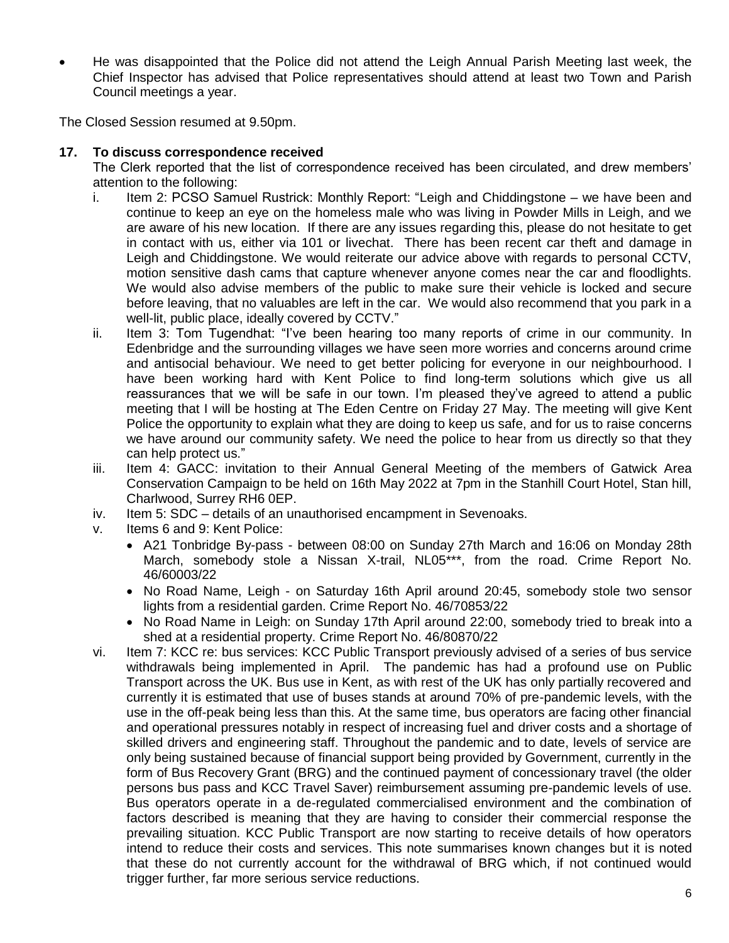He was disappointed that the Police did not attend the Leigh Annual Parish Meeting last week, the Chief Inspector has advised that Police representatives should attend at least two Town and Parish Council meetings a year.

The Closed Session resumed at 9.50pm.

### **17. To discuss correspondence received**

The Clerk reported that the list of correspondence received has been circulated, and drew members' attention to the following:

- i. Item 2: PCSO Samuel Rustrick: Monthly Report: "Leigh and Chiddingstone we have been and continue to keep an eye on the homeless male who was living in Powder Mills in Leigh, and we are aware of his new location. If there are any issues regarding this, please do not hesitate to get in contact with us, either via 101 or livechat. There has been recent car theft and damage in Leigh and Chiddingstone. We would reiterate our advice above with regards to personal CCTV, motion sensitive dash cams that capture whenever anyone comes near the car and floodlights. We would also advise members of the public to make sure their vehicle is locked and secure before leaving, that no valuables are left in the car. We would also recommend that you park in a well-lit, public place, ideally covered by CCTV."
- ii. Item 3: Tom Tugendhat: "I've been hearing too many reports of crime in our community. In Edenbridge and the surrounding villages we have seen more worries and concerns around crime and antisocial behaviour. We need to get better policing for everyone in our neighbourhood. I have been working hard with Kent Police to find long-term solutions which give us all reassurances that we will be safe in our town. I'm pleased they've agreed to attend a public meeting that I will be hosting at The Eden Centre on Friday 27 May. The meeting will give Kent Police the opportunity to explain what they are doing to keep us safe, and for us to raise concerns we have around our community safety. We need the police to hear from us directly so that they can help protect us."
- iii. Item 4: GACC: invitation to their Annual General Meeting of the members of Gatwick Area Conservation Campaign to be held on 16th May 2022 at 7pm in the Stanhill Court Hotel, Stan hill, Charlwood, Surrey RH6 0EP.
- iv. Item 5: SDC details of an unauthorised encampment in Sevenoaks.
- v. Items 6 and 9: Kent Police:
	- A21 Tonbridge By-pass between 08:00 on Sunday 27th March and 16:06 on Monday 28th March, somebody stole a Nissan X-trail, NL05\*\*\*, from the road. Crime Report No. 46/60003/22
	- No Road Name, Leigh on Saturday 16th April around 20:45, somebody stole two sensor lights from a residential garden. Crime Report No. 46/70853/22
	- No Road Name in Leigh: on Sunday 17th April around 22:00, somebody tried to break into a shed at a residential property. Crime Report No. 46/80870/22
- vi. Item 7: KCC re: bus services: KCC Public Transport previously advised of a series of bus service withdrawals being implemented in April. The pandemic has had a profound use on Public Transport across the UK. Bus use in Kent, as with rest of the UK has only partially recovered and currently it is estimated that use of buses stands at around 70% of pre-pandemic levels, with the use in the off-peak being less than this. At the same time, bus operators are facing other financial and operational pressures notably in respect of increasing fuel and driver costs and a shortage of skilled drivers and engineering staff. Throughout the pandemic and to date, levels of service are only being sustained because of financial support being provided by Government, currently in the form of Bus Recovery Grant (BRG) and the continued payment of concessionary travel (the older persons bus pass and KCC Travel Saver) reimbursement assuming pre-pandemic levels of use. Bus operators operate in a de-regulated commercialised environment and the combination of factors described is meaning that they are having to consider their commercial response the prevailing situation. KCC Public Transport are now starting to receive details of how operators intend to reduce their costs and services. This note summarises known changes but it is noted that these do not currently account for the withdrawal of BRG which, if not continued would trigger further, far more serious service reductions.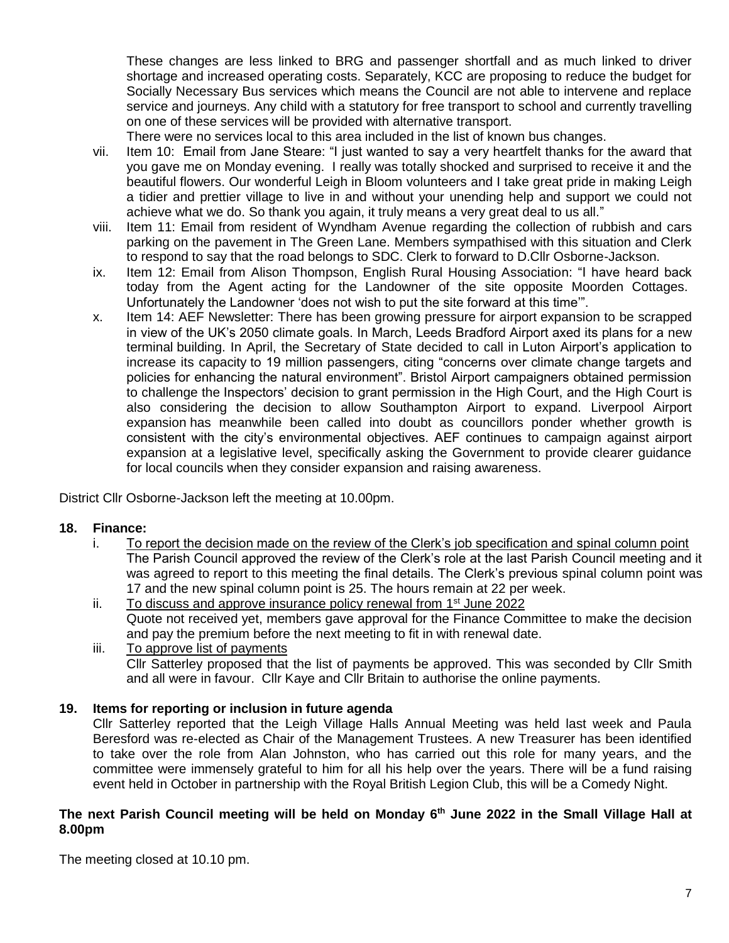These changes are less linked to BRG and passenger shortfall and as much linked to driver shortage and increased operating costs. Separately, KCC are proposing to reduce the budget for Socially Necessary Bus services which means the Council are not able to intervene and replace service and journeys. Any child with a statutory for free transport to school and currently travelling on one of these services will be provided with alternative transport.

There were no services local to this area included in the list of known bus changes.

- vii. Item 10: Email from Jane Steare: "I just wanted to say a very heartfelt thanks for the award that you gave me on Monday evening. I really was totally shocked and surprised to receive it and the beautiful flowers. Our wonderful Leigh in Bloom volunteers and I take great pride in making Leigh a tidier and prettier village to live in and without your unending help and support we could not achieve what we do. So thank you again, it truly means a very great deal to us all."
- viii. Item 11: Email from resident of Wyndham Avenue regarding the collection of rubbish and cars parking on the pavement in The Green Lane. Members sympathised with this situation and Clerk to respond to say that the road belongs to SDC. Clerk to forward to D.Cllr Osborne-Jackson.
- ix. Item 12: Email from Alison Thompson, English Rural Housing Association: "I have heard back today from the Agent acting for the Landowner of the site opposite Moorden Cottages. Unfortunately the Landowner 'does not wish to put the site forward at this time'".
- x. Item 14: AEF Newsletter: There has been growing pressure for airport expansion to be scrapped in view of the UK's 2050 climate goals. In March, Leeds Bradford Airport axed its plans for a new terminal building. In April, the Secretary of State decided to call in Luton Airport's application to increase its capacity to 19 million passengers, citing "concerns over climate change targets and policies for enhancing the natural environment". Bristol Airport campaigners obtained permission to challenge the Inspectors' decision to grant permission in the High Court, and the High Court is also considering the decision to allow Southampton Airport to expand. Liverpool Airport expansion has meanwhile been called into doubt as councillors ponder whether growth is consistent with the city's environmental objectives. AEF continues to campaign against airport expansion at a legislative level, specifically asking the Government to provide clearer guidance for local councils when they consider expansion and raising awareness.

District Cllr Osborne-Jackson left the meeting at 10.00pm.

### **18. Finance:**

- i. To report the decision made on the review of the Clerk's job specification and spinal column point The Parish Council approved the review of the Clerk's role at the last Parish Council meeting and it was agreed to report to this meeting the final details. The Clerk's previous spinal column point was 17 and the new spinal column point is 25. The hours remain at 22 per week.
- ii. To discuss and approve insurance policy renewal from 1<sup>st</sup> June 2022 Quote not received yet, members gave approval for the Finance Committee to make the decision and pay the premium before the next meeting to fit in with renewal date.
- iii. To approve list of payments Cllr Satterley proposed that the list of payments be approved. This was seconded by Cllr Smith and all were in favour. Cllr Kaye and Cllr Britain to authorise the online payments.

### **19. Items for reporting or inclusion in future agenda**

Cllr Satterley reported that the Leigh Village Halls Annual Meeting was held last week and Paula Beresford was re-elected as Chair of the Management Trustees. A new Treasurer has been identified to take over the role from Alan Johnston, who has carried out this role for many years, and the committee were immensely grateful to him for all his help over the years. There will be a fund raising event held in October in partnership with the Royal British Legion Club, this will be a Comedy Night.

#### **The next Parish Council meeting will be held on Monday 6 th June 2022 in the Small Village Hall at 8.00pm**

The meeting closed at 10.10 pm.